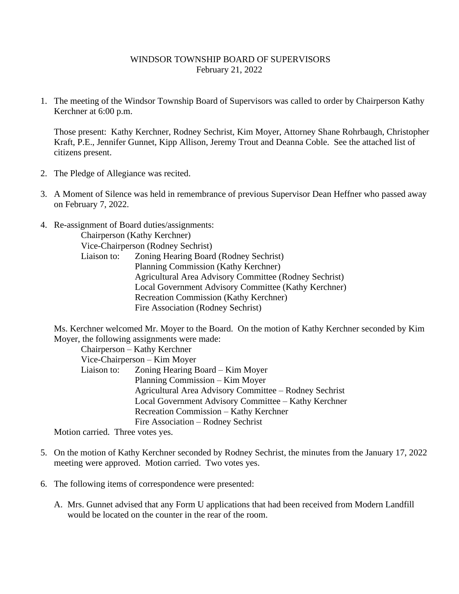## WINDSOR TOWNSHIP BOARD OF SUPERVISORS February 21, 2022

1. The meeting of the Windsor Township Board of Supervisors was called to order by Chairperson Kathy Kerchner at 6:00 p.m.

Those present: Kathy Kerchner, Rodney Sechrist, Kim Moyer, Attorney Shane Rohrbaugh, Christopher Kraft, P.E., Jennifer Gunnet, Kipp Allison, Jeremy Trout and Deanna Coble. See the attached list of citizens present.

- 2. The Pledge of Allegiance was recited.
- 3. A Moment of Silence was held in remembrance of previous Supervisor Dean Heffner who passed away on February 7, 2022.
- 4. Re-assignment of Board duties/assignments:

Chairperson (Kathy Kerchner) Vice-Chairperson (Rodney Sechrist) Liaison to: Zoning Hearing Board (Rodney Sechrist) Planning Commission (Kathy Kerchner) Agricultural Area Advisory Committee (Rodney Sechrist) Local Government Advisory Committee (Kathy Kerchner) Recreation Commission (Kathy Kerchner) Fire Association (Rodney Sechrist)

Ms. Kerchner welcomed Mr. Moyer to the Board. On the motion of Kathy Kerchner seconded by Kim Moyer, the following assignments were made:

Chairperson – Kathy Kerchner Vice-Chairperson – Kim Moyer Liaison to: Zoning Hearing Board – Kim Moyer Planning Commission – Kim Moyer Agricultural Area Advisory Committee – Rodney Sechrist Local Government Advisory Committee – Kathy Kerchner Recreation Commission – Kathy Kerchner Fire Association – Rodney Sechrist

Motion carried. Three votes yes.

- 5. On the motion of Kathy Kerchner seconded by Rodney Sechrist, the minutes from the January 17, 2022 meeting were approved. Motion carried. Two votes yes.
- 6. The following items of correspondence were presented:
	- A. Mrs. Gunnet advised that any Form U applications that had been received from Modern Landfill would be located on the counter in the rear of the room.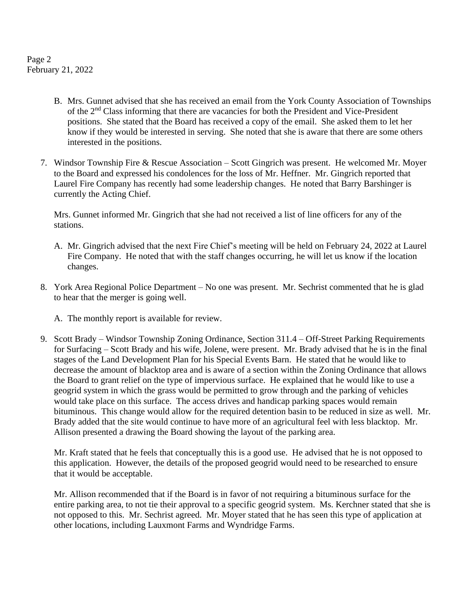Page 2 February 21, 2022

- B. Mrs. Gunnet advised that she has received an email from the York County Association of Townships of the 2<sup>nd</sup> Class informing that there are vacancies for both the President and Vice-President positions. She stated that the Board has received a copy of the email. She asked them to let her know if they would be interested in serving. She noted that she is aware that there are some others interested in the positions.
- 7. Windsor Township Fire & Rescue Association Scott Gingrich was present. He welcomed Mr. Moyer to the Board and expressed his condolences for the loss of Mr. Heffner. Mr. Gingrich reported that Laurel Fire Company has recently had some leadership changes. He noted that Barry Barshinger is currently the Acting Chief.

Mrs. Gunnet informed Mr. Gingrich that she had not received a list of line officers for any of the stations.

- A. Mr. Gingrich advised that the next Fire Chief's meeting will be held on February 24, 2022 at Laurel Fire Company. He noted that with the staff changes occurring, he will let us know if the location changes.
- 8. York Area Regional Police Department No one was present. Mr. Sechrist commented that he is glad to hear that the merger is going well.
	- A. The monthly report is available for review.
- 9. Scott Brady Windsor Township Zoning Ordinance, Section 311.4 Off-Street Parking Requirements for Surfacing – Scott Brady and his wife, Jolene, were present. Mr. Brady advised that he is in the final stages of the Land Development Plan for his Special Events Barn. He stated that he would like to decrease the amount of blacktop area and is aware of a section within the Zoning Ordinance that allows the Board to grant relief on the type of impervious surface. He explained that he would like to use a geogrid system in which the grass would be permitted to grow through and the parking of vehicles would take place on this surface. The access drives and handicap parking spaces would remain bituminous. This change would allow for the required detention basin to be reduced in size as well. Mr. Brady added that the site would continue to have more of an agricultural feel with less blacktop. Mr. Allison presented a drawing the Board showing the layout of the parking area.

Mr. Kraft stated that he feels that conceptually this is a good use. He advised that he is not opposed to this application. However, the details of the proposed geogrid would need to be researched to ensure that it would be acceptable.

Mr. Allison recommended that if the Board is in favor of not requiring a bituminous surface for the entire parking area, to not tie their approval to a specific geogrid system. Ms. Kerchner stated that she is not opposed to this. Mr. Sechrist agreed. Mr. Moyer stated that he has seen this type of application at other locations, including Lauxmont Farms and Wyndridge Farms.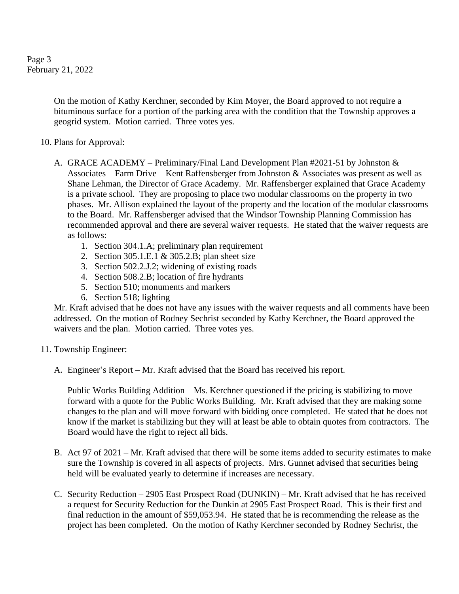Page 3 February 21, 2022

> On the motion of Kathy Kerchner, seconded by Kim Moyer, the Board approved to not require a bituminous surface for a portion of the parking area with the condition that the Township approves a geogrid system. Motion carried. Three votes yes.

## 10. Plans for Approval:

- A. GRACE ACADEMY Preliminary/Final Land Development Plan #2021-51 by Johnston & Associates – Farm Drive – Kent Raffensberger from Johnston & Associates was present as well as Shane Lehman, the Director of Grace Academy. Mr. Raffensberger explained that Grace Academy is a private school. They are proposing to place two modular classrooms on the property in two phases. Mr. Allison explained the layout of the property and the location of the modular classrooms to the Board. Mr. Raffensberger advised that the Windsor Township Planning Commission has recommended approval and there are several waiver requests. He stated that the waiver requests are as follows:
	- 1. Section 304.1.A; preliminary plan requirement
	- 2. Section 305.1.E.1 & 305.2.B; plan sheet size
	- 3. Section 502.2.J.2; widening of existing roads
	- 4. Section 508.2.B; location of fire hydrants
	- 5. Section 510; monuments and markers
	- 6. Section 518; lighting

Mr. Kraft advised that he does not have any issues with the waiver requests and all comments have been addressed. On the motion of Rodney Sechrist seconded by Kathy Kerchner, the Board approved the waivers and the plan. Motion carried. Three votes yes.

- 11. Township Engineer:
	- A. Engineer's Report Mr. Kraft advised that the Board has received his report.

Public Works Building Addition – Ms. Kerchner questioned if the pricing is stabilizing to move forward with a quote for the Public Works Building. Mr. Kraft advised that they are making some changes to the plan and will move forward with bidding once completed. He stated that he does not know if the market is stabilizing but they will at least be able to obtain quotes from contractors. The Board would have the right to reject all bids.

- B. Act 97 of 2021 Mr. Kraft advised that there will be some items added to security estimates to make sure the Township is covered in all aspects of projects. Mrs. Gunnet advised that securities being held will be evaluated yearly to determine if increases are necessary.
- C. Security Reduction 2905 East Prospect Road (DUNKIN) Mr. Kraft advised that he has received a request for Security Reduction for the Dunkin at 2905 East Prospect Road. This is their first and final reduction in the amount of \$59,053.94. He stated that he is recommending the release as the project has been completed. On the motion of Kathy Kerchner seconded by Rodney Sechrist, the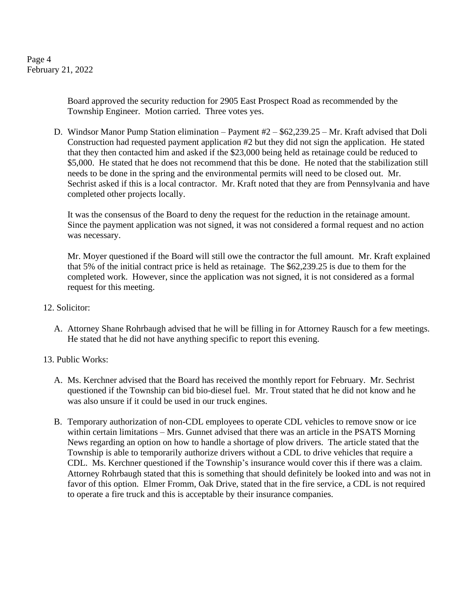Board approved the security reduction for 2905 East Prospect Road as recommended by the Township Engineer. Motion carried. Three votes yes.

D. Windsor Manor Pump Station elimination – Payment #2 – \$62,239.25 – Mr. Kraft advised that Doli Construction had requested payment application #2 but they did not sign the application. He stated that they then contacted him and asked if the \$23,000 being held as retainage could be reduced to \$5,000. He stated that he does not recommend that this be done. He noted that the stabilization still needs to be done in the spring and the environmental permits will need to be closed out. Mr. Sechrist asked if this is a local contractor. Mr. Kraft noted that they are from Pennsylvania and have completed other projects locally.

It was the consensus of the Board to deny the request for the reduction in the retainage amount. Since the payment application was not signed, it was not considered a formal request and no action was necessary.

Mr. Moyer questioned if the Board will still owe the contractor the full amount. Mr. Kraft explained that 5% of the initial contract price is held as retainage. The \$62,239.25 is due to them for the completed work. However, since the application was not signed, it is not considered as a formal request for this meeting.

- 12. Solicitor:
	- A. Attorney Shane Rohrbaugh advised that he will be filling in for Attorney Rausch for a few meetings. He stated that he did not have anything specific to report this evening.
- 13. Public Works:
	- A. Ms. Kerchner advised that the Board has received the monthly report for February. Mr. Sechrist questioned if the Township can bid bio-diesel fuel. Mr. Trout stated that he did not know and he was also unsure if it could be used in our truck engines.
	- B. Temporary authorization of non-CDL employees to operate CDL vehicles to remove snow or ice within certain limitations – Mrs. Gunnet advised that there was an article in the PSATS Morning News regarding an option on how to handle a shortage of plow drivers. The article stated that the Township is able to temporarily authorize drivers without a CDL to drive vehicles that require a CDL. Ms. Kerchner questioned if the Township's insurance would cover this if there was a claim. Attorney Rohrbaugh stated that this is something that should definitely be looked into and was not in favor of this option. Elmer Fromm, Oak Drive, stated that in the fire service, a CDL is not required to operate a fire truck and this is acceptable by their insurance companies.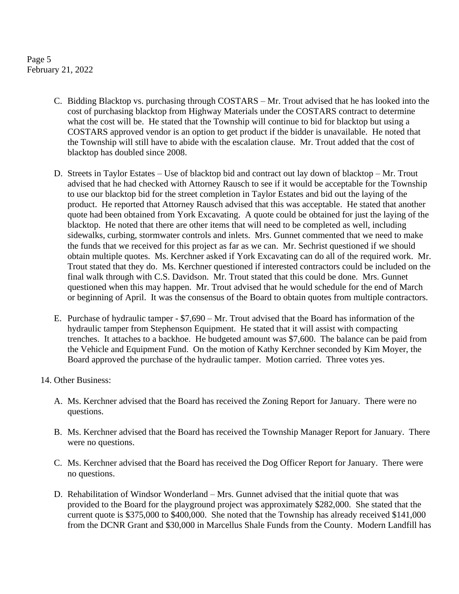Page 5 February 21, 2022

- C. Bidding Blacktop vs. purchasing through COSTARS Mr. Trout advised that he has looked into the cost of purchasing blacktop from Highway Materials under the COSTARS contract to determine what the cost will be. He stated that the Township will continue to bid for blacktop but using a COSTARS approved vendor is an option to get product if the bidder is unavailable. He noted that the Township will still have to abide with the escalation clause. Mr. Trout added that the cost of blacktop has doubled since 2008.
- D. Streets in Taylor Estates Use of blacktop bid and contract out lay down of blacktop Mr. Trout advised that he had checked with Attorney Rausch to see if it would be acceptable for the Township to use our blacktop bid for the street completion in Taylor Estates and bid out the laying of the product. He reported that Attorney Rausch advised that this was acceptable. He stated that another quote had been obtained from York Excavating. A quote could be obtained for just the laying of the blacktop. He noted that there are other items that will need to be completed as well, including sidewalks, curbing, stormwater controls and inlets. Mrs. Gunnet commented that we need to make the funds that we received for this project as far as we can. Mr. Sechrist questioned if we should obtain multiple quotes. Ms. Kerchner asked if York Excavating can do all of the required work. Mr. Trout stated that they do. Ms. Kerchner questioned if interested contractors could be included on the final walk through with C.S. Davidson. Mr. Trout stated that this could be done. Mrs. Gunnet questioned when this may happen. Mr. Trout advised that he would schedule for the end of March or beginning of April. It was the consensus of the Board to obtain quotes from multiple contractors.
- E. Purchase of hydraulic tamper \$7,690 Mr. Trout advised that the Board has information of the hydraulic tamper from Stephenson Equipment. He stated that it will assist with compacting trenches. It attaches to a backhoe. He budgeted amount was \$7,600. The balance can be paid from the Vehicle and Equipment Fund. On the motion of Kathy Kerchner seconded by Kim Moyer, the Board approved the purchase of the hydraulic tamper. Motion carried. Three votes yes.
- 14. Other Business:
	- A. Ms. Kerchner advised that the Board has received the Zoning Report for January. There were no questions.
	- B. Ms. Kerchner advised that the Board has received the Township Manager Report for January. There were no questions.
	- C. Ms. Kerchner advised that the Board has received the Dog Officer Report for January. There were no questions.
	- D. Rehabilitation of Windsor Wonderland Mrs. Gunnet advised that the initial quote that was provided to the Board for the playground project was approximately \$282,000. She stated that the current quote is \$375,000 to \$400,000. She noted that the Township has already received \$141,000 from the DCNR Grant and \$30,000 in Marcellus Shale Funds from the County. Modern Landfill has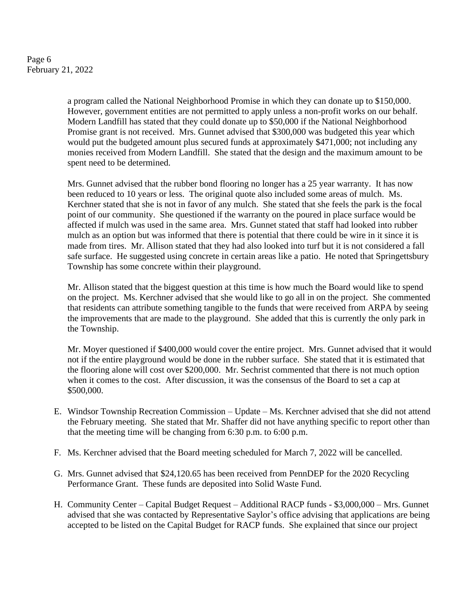Page 6 February 21, 2022

> a program called the National Neighborhood Promise in which they can donate up to \$150,000. However, government entities are not permitted to apply unless a non-profit works on our behalf. Modern Landfill has stated that they could donate up to \$50,000 if the National Neighborhood Promise grant is not received. Mrs. Gunnet advised that \$300,000 was budgeted this year which would put the budgeted amount plus secured funds at approximately \$471,000; not including any monies received from Modern Landfill. She stated that the design and the maximum amount to be spent need to be determined.

Mrs. Gunnet advised that the rubber bond flooring no longer has a 25 year warranty. It has now been reduced to 10 years or less. The original quote also included some areas of mulch. Ms. Kerchner stated that she is not in favor of any mulch. She stated that she feels the park is the focal point of our community. She questioned if the warranty on the poured in place surface would be affected if mulch was used in the same area. Mrs. Gunnet stated that staff had looked into rubber mulch as an option but was informed that there is potential that there could be wire in it since it is made from tires. Mr. Allison stated that they had also looked into turf but it is not considered a fall safe surface. He suggested using concrete in certain areas like a patio. He noted that Springettsbury Township has some concrete within their playground.

Mr. Allison stated that the biggest question at this time is how much the Board would like to spend on the project. Ms. Kerchner advised that she would like to go all in on the project. She commented that residents can attribute something tangible to the funds that were received from ARPA by seeing the improvements that are made to the playground. She added that this is currently the only park in the Township.

Mr. Moyer questioned if \$400,000 would cover the entire project. Mrs. Gunnet advised that it would not if the entire playground would be done in the rubber surface. She stated that it is estimated that the flooring alone will cost over \$200,000. Mr. Sechrist commented that there is not much option when it comes to the cost. After discussion, it was the consensus of the Board to set a cap at \$500,000.

- E. Windsor Township Recreation Commission Update Ms. Kerchner advised that she did not attend the February meeting. She stated that Mr. Shaffer did not have anything specific to report other than that the meeting time will be changing from 6:30 p.m. to 6:00 p.m.
- F. Ms. Kerchner advised that the Board meeting scheduled for March 7, 2022 will be cancelled.
- G. Mrs. Gunnet advised that \$24,120.65 has been received from PennDEP for the 2020 Recycling Performance Grant. These funds are deposited into Solid Waste Fund.
- H. Community Center Capital Budget Request Additional RACP funds \$3,000,000 Mrs. Gunnet advised that she was contacted by Representative Saylor's office advising that applications are being accepted to be listed on the Capital Budget for RACP funds. She explained that since our project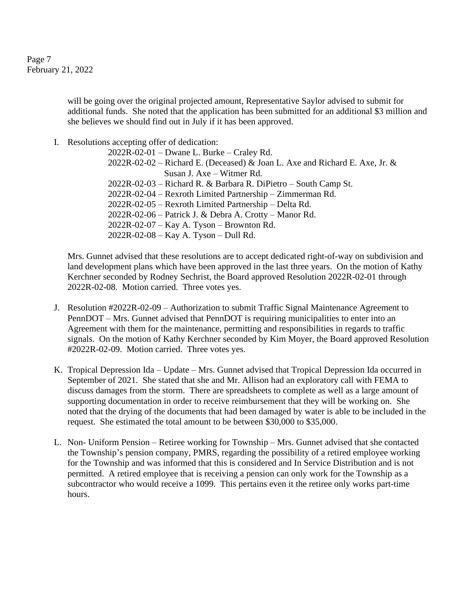Page 7 February 21, 2022

> will be going over the original projected amount, Representative Saylor advised to submit for additional funds. She noted that the application has been submitted for an additional \$3 million and she believes we should find out in July if it has been approved.

I. Resolutions accepting offer of dedication:

2022R-02-01 – Dwane L. Burke – Craley Rd.  $2022R-02-02$  – Richard E. (Deceased) & Joan L. Axe and Richard E. Axe, Jr. & Susan J. Axe – Witmer Rd. 2022R-02-03 – Richard R. & Barbara R. DiPietro – South Camp St. 2022R-02-04 – Rexroth Limited Partnership – Zimmerman Rd. 2022R-02-05 – Rexroth Limited Partnership – Delta Rd. 2022R-02-06 – Patrick J. & Debra A. Crotty – Manor Rd. 2022R-02-07 – Kay A. Tyson – Brownton Rd. 2022R-02-08 – Kay A. Tyson – Dull Rd.

Mrs. Gunnet advised that these resolutions are to accept dedicated right-of-way on subdivision and land development plans which have been approved in the last three years. On the motion of Kathy Kerchner seconded by Rodney Sechrist, the Board approved Resolution 2022R-02-01 through 2022R-02-08. Motion carried. Three votes yes.

- J. Resolution #2022R-02-09 Authorization to submit Traffic Signal Maintenance Agreement to PennDOT – Mrs. Gunnet advised that PennDOT is requiring municipalities to enter into an Agreement with them for the maintenance, permitting and responsibilities in regards to traffic signals. On the motion of Kathy Kerchner seconded by Kim Moyer, the Board approved Resolution #2022R-02-09. Motion carried. Three votes yes.
- K. Tropical Depression Ida Update Mrs. Gunnet advised that Tropical Depression Ida occurred in September of 2021. She stated that she and Mr. Allison had an exploratory call with FEMA to discuss damages from the storm. There are spreadsheets to complete as well as a large amount of supporting documentation in order to receive reimbursement that they will be working on. She noted that the drying of the documents that had been damaged by water is able to be included in the request. She estimated the total amount to be between \$30,000 to \$35,000.
- L. Non- Uniform Pension Retiree working for Township Mrs. Gunnet advised that she contacted the Township's pension company, PMRS, regarding the possibility of a retired employee working for the Township and was informed that this is considered and In Service Distribution and is not permitted. A retired employee that is receiving a pension can only work for the Township as a subcontractor who would receive a 1099. This pertains even it the retiree only works part-time hours.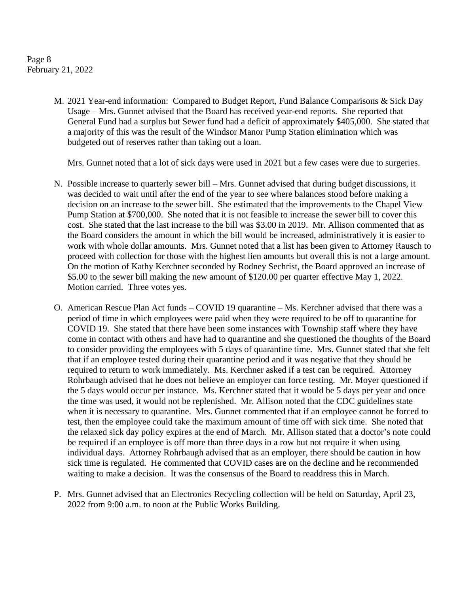Page 8 February 21, 2022

> M. 2021 Year-end information: Compared to Budget Report, Fund Balance Comparisons & Sick Day Usage – Mrs. Gunnet advised that the Board has received year-end reports. She reported that General Fund had a surplus but Sewer fund had a deficit of approximately \$405,000. She stated that a majority of this was the result of the Windsor Manor Pump Station elimination which was budgeted out of reserves rather than taking out a loan.

Mrs. Gunnet noted that a lot of sick days were used in 2021 but a few cases were due to surgeries.

- N. Possible increase to quarterly sewer bill Mrs. Gunnet advised that during budget discussions, it was decided to wait until after the end of the year to see where balances stood before making a decision on an increase to the sewer bill. She estimated that the improvements to the Chapel View Pump Station at \$700,000. She noted that it is not feasible to increase the sewer bill to cover this cost. She stated that the last increase to the bill was \$3.00 in 2019. Mr. Allison commented that as the Board considers the amount in which the bill would be increased, administratively it is easier to work with whole dollar amounts. Mrs. Gunnet noted that a list has been given to Attorney Rausch to proceed with collection for those with the highest lien amounts but overall this is not a large amount. On the motion of Kathy Kerchner seconded by Rodney Sechrist, the Board approved an increase of \$5.00 to the sewer bill making the new amount of \$120.00 per quarter effective May 1, 2022. Motion carried. Three votes yes.
- O. American Rescue Plan Act funds COVID 19 quarantine Ms. Kerchner advised that there was a period of time in which employees were paid when they were required to be off to quarantine for COVID 19. She stated that there have been some instances with Township staff where they have come in contact with others and have had to quarantine and she questioned the thoughts of the Board to consider providing the employees with 5 days of quarantine time. Mrs. Gunnet stated that she felt that if an employee tested during their quarantine period and it was negative that they should be required to return to work immediately. Ms. Kerchner asked if a test can be required. Attorney Rohrbaugh advised that he does not believe an employer can force testing. Mr. Moyer questioned if the 5 days would occur per instance. Ms. Kerchner stated that it would be 5 days per year and once the time was used, it would not be replenished. Mr. Allison noted that the CDC guidelines state when it is necessary to quarantine. Mrs. Gunnet commented that if an employee cannot be forced to test, then the employee could take the maximum amount of time off with sick time. She noted that the relaxed sick day policy expires at the end of March. Mr. Allison stated that a doctor's note could be required if an employee is off more than three days in a row but not require it when using individual days. Attorney Rohrbaugh advised that as an employer, there should be caution in how sick time is regulated. He commented that COVID cases are on the decline and he recommended waiting to make a decision. It was the consensus of the Board to readdress this in March.
- P. Mrs. Gunnet advised that an Electronics Recycling collection will be held on Saturday, April 23, 2022 from 9:00 a.m. to noon at the Public Works Building.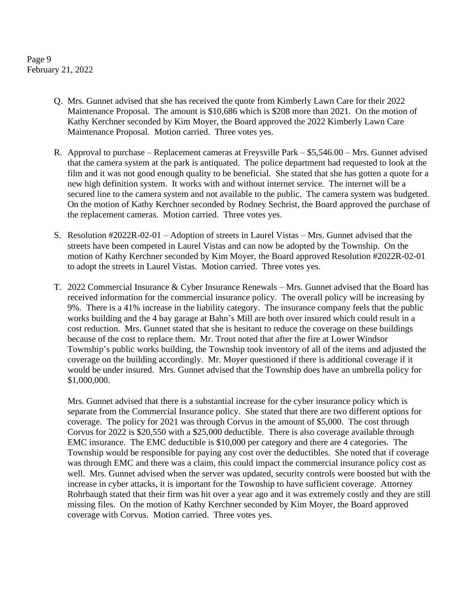Page 9 February 21, 2022

- Q. Mrs. Gunnet advised that she has received the quote from Kimberly Lawn Care for their 2022 Maintenance Proposal. The amount is \$10,686 which is \$208 more than 2021. On the motion of Kathy Kerchner seconded by Kim Moyer, the Board approved the 2022 Kimberly Lawn Care Maintenance Proposal. Motion carried. Three votes yes.
- R. Approval to purchase Replacement cameras at Freysville Park \$5,546.00 Mrs. Gunnet advised that the camera system at the park is antiquated. The police department had requested to look at the film and it was not good enough quality to be beneficial. She stated that she has gotten a quote for a new high definition system. It works with and without internet service. The internet will be a secured line to the camera system and not available to the public. The camera system was budgeted. On the motion of Kathy Kerchner seconded by Rodney Sechrist, the Board approved the purchase of the replacement cameras. Motion carried. Three votes yes.
- S. Resolution #2022R-02-01 Adoption of streets in Laurel Vistas Mrs. Gunnet advised that the streets have been competed in Laurel Vistas and can now be adopted by the Township. On the motion of Kathy Kerchner seconded by Kim Moyer, the Board approved Resolution #2022R-02-01 to adopt the streets in Laurel Vistas. Motion carried. Three votes yes.
- T. 2022 Commercial Insurance & Cyber Insurance Renewals Mrs. Gunnet advised that the Board has received information for the commercial insurance policy. The overall policy will be increasing by 9%. There is a 41% increase in the liability category. The insurance company feels that the public works building and the 4 bay garage at Bahn's Mill are both over insured which could result in a cost reduction. Mrs. Gunnet stated that she is hesitant to reduce the coverage on these buildings because of the cost to replace them. Mr. Trout noted that after the fire at Lower Windsor Township's public works building, the Township took inventory of all of the items and adjusted the coverage on the building accordingly. Mr. Moyer questioned if there is additional coverage if it would be under insured. Mrs. Gunnet advised that the Township does have an umbrella policy for \$1,000,000.

Mrs. Gunnet advised that there is a substantial increase for the cyber insurance policy which is separate from the Commercial Insurance policy. She stated that there are two different options for coverage. The policy for 2021 was through Corvus in the amount of \$5,000. The cost through Corvus for 2022 is \$20,550 with a \$25,000 deductible. There is also coverage available through EMC insurance. The EMC deductible is \$10,000 per category and there are 4 categories. The Township would be responsible for paying any cost over the deductibles. She noted that if coverage was through EMC and there was a claim, this could impact the commercial insurance policy cost as well. Mrs. Gunnet advised when the server was updated, security controls were boosted but with the increase in cyber attacks, it is important for the Township to have sufficient coverage. Attorney Rohrbaugh stated that their firm was hit over a year ago and it was extremely costly and they are still missing files. On the motion of Kathy Kerchner seconded by Kim Moyer, the Board approved coverage with Corvus. Motion carried. Three votes yes.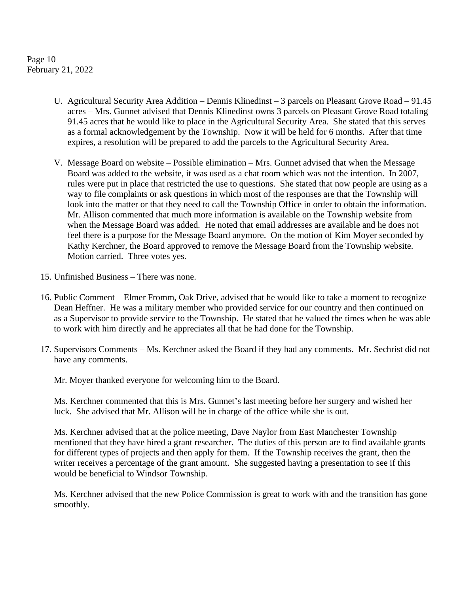Page 10 February 21, 2022

- U. Agricultural Security Area Addition Dennis Klinedinst 3 parcels on Pleasant Grove Road 91.45 acres – Mrs. Gunnet advised that Dennis Klinedinst owns 3 parcels on Pleasant Grove Road totaling 91.45 acres that he would like to place in the Agricultural Security Area. She stated that this serves as a formal acknowledgement by the Township. Now it will be held for 6 months. After that time expires, a resolution will be prepared to add the parcels to the Agricultural Security Area.
- V. Message Board on website Possible elimination Mrs. Gunnet advised that when the Message Board was added to the website, it was used as a chat room which was not the intention. In 2007, rules were put in place that restricted the use to questions. She stated that now people are using as a way to file complaints or ask questions in which most of the responses are that the Township will look into the matter or that they need to call the Township Office in order to obtain the information. Mr. Allison commented that much more information is available on the Township website from when the Message Board was added. He noted that email addresses are available and he does not feel there is a purpose for the Message Board anymore. On the motion of Kim Moyer seconded by Kathy Kerchner, the Board approved to remove the Message Board from the Township website. Motion carried. Three votes yes.
- 15. Unfinished Business There was none.
- 16. Public Comment Elmer Fromm, Oak Drive, advised that he would like to take a moment to recognize Dean Heffner. He was a military member who provided service for our country and then continued on as a Supervisor to provide service to the Township. He stated that he valued the times when he was able to work with him directly and he appreciates all that he had done for the Township.
- 17. Supervisors Comments Ms. Kerchner asked the Board if they had any comments. Mr. Sechrist did not have any comments.

Mr. Moyer thanked everyone for welcoming him to the Board.

Ms. Kerchner commented that this is Mrs. Gunnet's last meeting before her surgery and wished her luck. She advised that Mr. Allison will be in charge of the office while she is out.

Ms. Kerchner advised that at the police meeting, Dave Naylor from East Manchester Township mentioned that they have hired a grant researcher. The duties of this person are to find available grants for different types of projects and then apply for them. If the Township receives the grant, then the writer receives a percentage of the grant amount. She suggested having a presentation to see if this would be beneficial to Windsor Township.

Ms. Kerchner advised that the new Police Commission is great to work with and the transition has gone smoothly.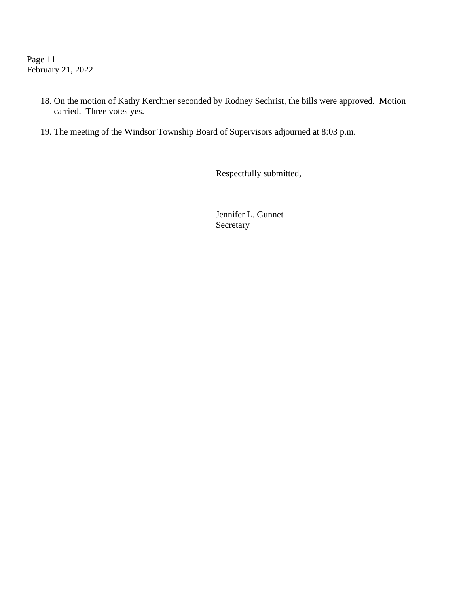Page 11 February 21, 2022

- 18. On the motion of Kathy Kerchner seconded by Rodney Sechrist, the bills were approved. Motion carried. Three votes yes.
- 19. The meeting of the Windsor Township Board of Supervisors adjourned at 8:03 p.m.

Respectfully submitted,

Jennifer L. Gunnet Secretary